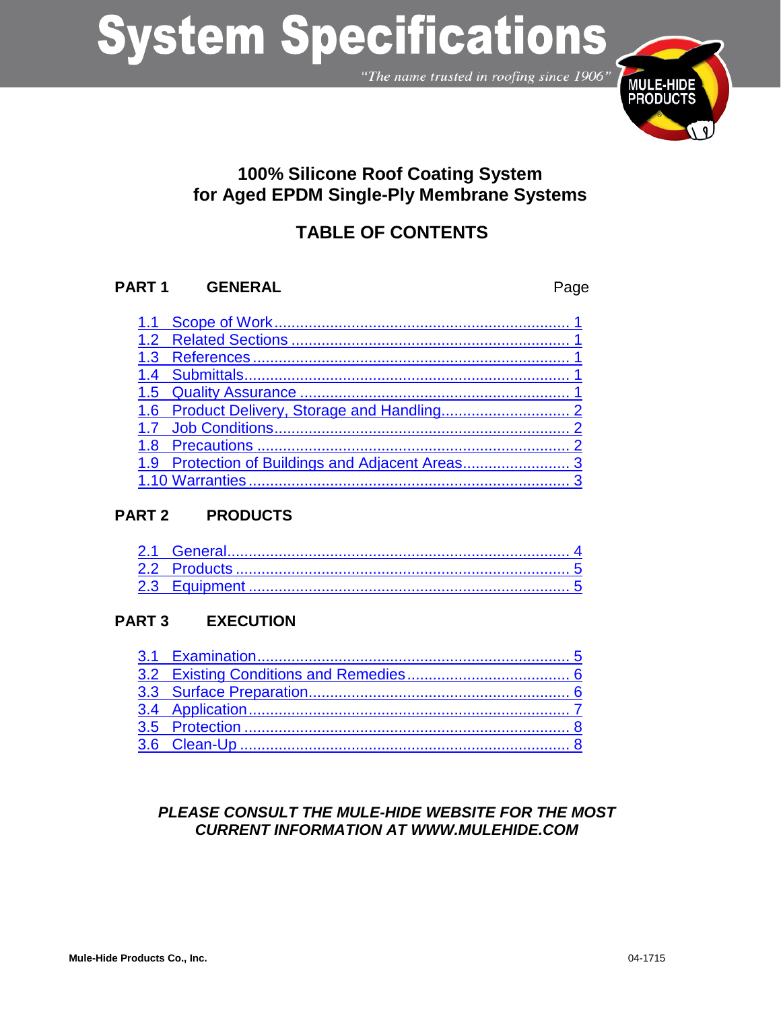"The name trusted in roofing since 1906"



# **100% Silicone Roof Coating System for Aged EPDM Single-Ply Membrane Systems**

# **TABLE OF CONTENTS**

# **PART 1 GENERAL** Page

# **PART 2 PRODUCTS**

# **PART 3 EXECUTION**

# *PLEASE CONSULT THE MULE-HIDE WEBSITE FOR THE MOST CURRENT INFORMATION AT WWW.MULEHIDE.COM*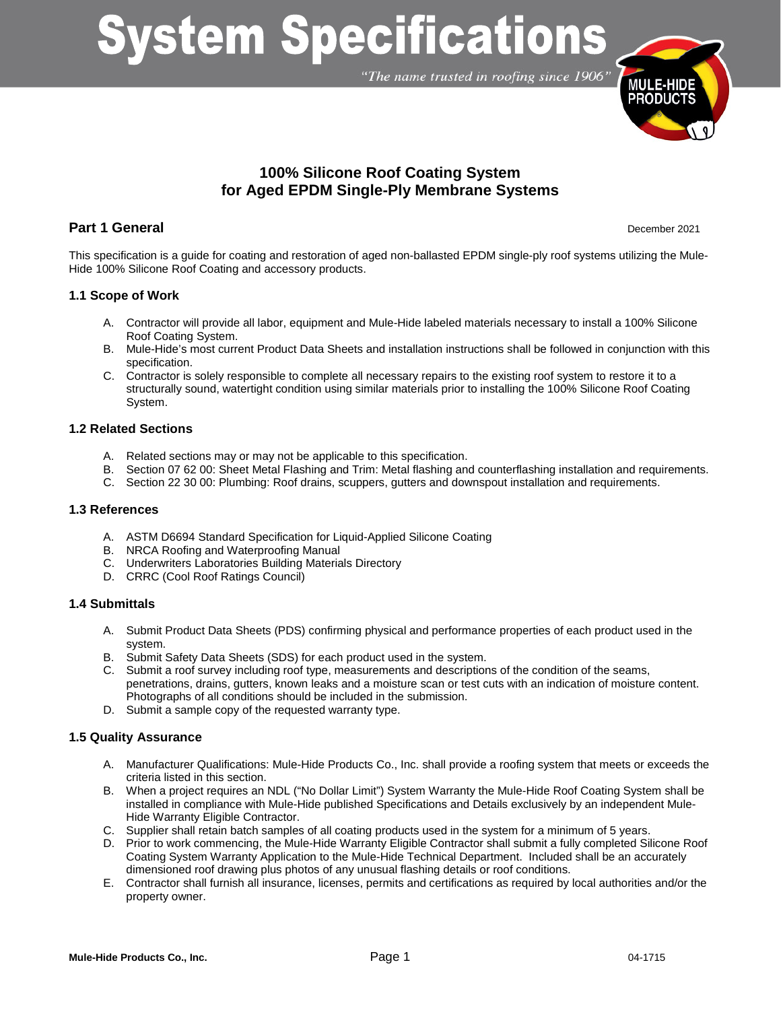"The name trusted in roofing since 1906"



# **100% Silicone Roof Coating System for Aged EPDM Single-Ply Membrane Systems**

# **Part 1 General** December 2021

This specification is a guide for coating and restoration of aged non-ballasted EPDM single-ply roof systems utilizing the Mule-Hide 100% Silicone Roof Coating and accessory products.

# <span id="page-1-0"></span>**1.1 Scope of Work**

- A. Contractor will provide all labor, equipment and Mule-Hide labeled materials necessary to install a 100% Silicone Roof Coating System.
- B. Mule-Hide's most current Product Data Sheets and installation instructions shall be followed in conjunction with this specification.
- C. Contractor is solely responsible to complete all necessary repairs to the existing roof system to restore it to a structurally sound, watertight condition using similar materials prior to installing the 100% Silicone Roof Coating System.

# <span id="page-1-1"></span>**1.2 Related Sections**

- A. Related sections may or may not be applicable to this specification.
- B. Section 07 62 00: Sheet Metal Flashing and Trim: Metal flashing and counterflashing installation and requirements.
- C. Section 22 30 00: Plumbing: Roof drains, scuppers, gutters and downspout installation and requirements.

#### <span id="page-1-2"></span>**1.3 References**

- A. ASTM D6694 Standard Specification for Liquid-Applied Silicone Coating
- B. NRCA Roofing and Waterproofing Manual
- C. Underwriters Laboratories Building Materials Directory
- D. CRRC (Cool Roof Ratings Council)

# <span id="page-1-3"></span>**1.4 Submittals**

- A. Submit Product Data Sheets (PDS) confirming physical and performance properties of each product used in the system.
- B. Submit Safety Data Sheets (SDS) for each product used in the system.
- C. Submit a roof survey including roof type, measurements and descriptions of the condition of the seams, penetrations, drains, gutters, known leaks and a moisture scan or test cuts with an indication of moisture content. Photographs of all conditions should be included in the submission.
- D. Submit a sample copy of the requested warranty type.

# <span id="page-1-4"></span>**1.5 Quality Assurance**

- A. Manufacturer Qualifications: Mule-Hide Products Co., Inc. shall provide a roofing system that meets or exceeds the criteria listed in this section.
- B. When a project requires an NDL ("No Dollar Limit") System Warranty the Mule-Hide Roof Coating System shall be installed in compliance with Mule-Hide published Specifications and Details exclusively by an independent Mule-Hide Warranty Eligible Contractor.
- C. Supplier shall retain batch samples of all coating products used in the system for a minimum of 5 years.
- D. Prior to work commencing, the Mule-Hide Warranty Eligible Contractor shall submit a fully completed Silicone Roof Coating System Warranty Application to the Mule-Hide Technical Department. Included shall be an accurately dimensioned roof drawing plus photos of any unusual flashing details or roof conditions.
- E. Contractor shall furnish all insurance, licenses, permits and certifications as required by local authorities and/or the property owner.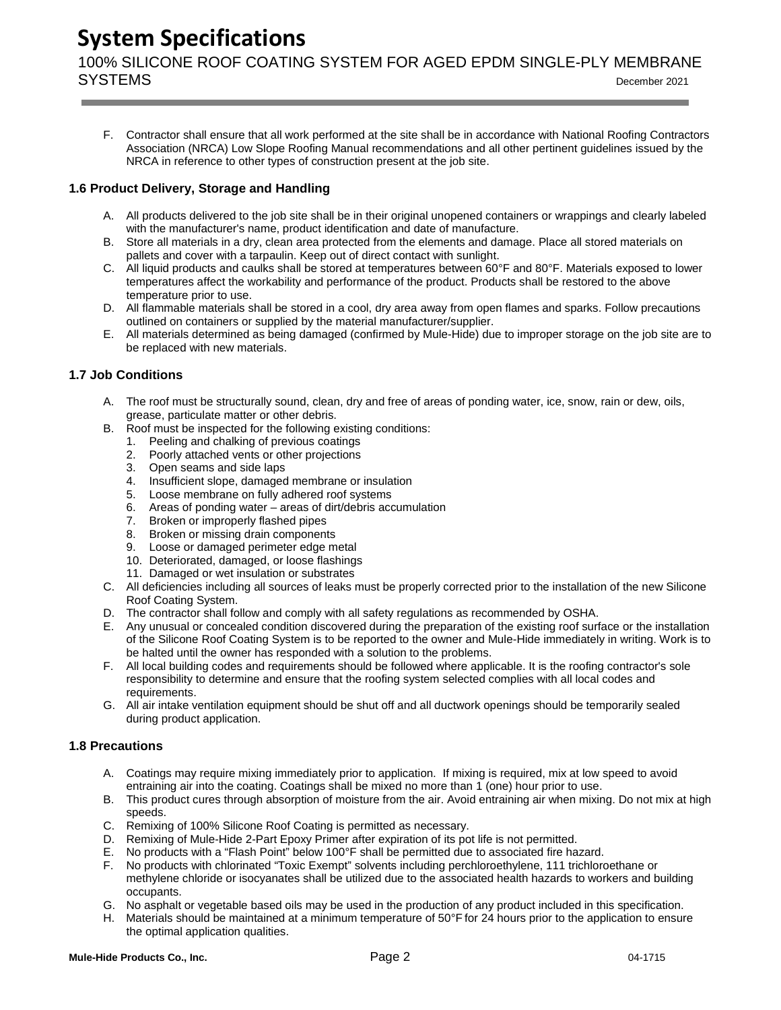100% SILICONE ROOF COATING SYSTEM FOR AGED EPDM SINGLE-PLY MEMBRANE SYSTEMS December <sup>2021</sup>

F. Contractor shall ensure that all work performed at the site shall be in accordance with National Roofing Contractors Association (NRCA) Low Slope Roofing Manual recommendations and all other pertinent guidelines issued by the NRCA in reference to other types of construction present at the job site.

# <span id="page-2-0"></span>**1.6 Product Delivery, Storage and Handling**

- A. All products delivered to the job site shall be in their original unopened containers or wrappings and clearly labeled with the manufacturer's name, product identification and date of manufacture.
- B. Store all materials in a dry, clean area protected from the elements and damage. Place all stored materials on pallets and cover with a tarpaulin. Keep out of direct contact with sunlight.
- C. All liquid products and caulks shall be stored at temperatures between 60°F and 80°F. Materials exposed to lower temperatures affect the workability and performance of the product. Products shall be restored to the above temperature prior to use.
- D. All flammable materials shall be stored in a cool, dry area away from open flames and sparks. Follow precautions outlined on containers or supplied by the material manufacturer/supplier.
- E. All materials determined as being damaged (confirmed by Mule-Hide) due to improper storage on the job site are to be replaced with new materials.

# <span id="page-2-1"></span>**1.7 Job Conditions**

- A. The roof must be structurally sound, clean, dry and free of areas of ponding water, ice, snow, rain or dew, oils, grease, particulate matter or other debris.
- B. Roof must be inspected for the following existing conditions:
	- 1. Peeling and chalking of previous coatings
	- 2. Poorly attached vents or other projections
	- 3. Open seams and side laps
	- 4. Insufficient slope, damaged membrane or insulation
	- 5. Loose membrane on fully adhered roof systems
	- 6. Areas of ponding water areas of dirt/debris accumulation
	- 7. Broken or improperly flashed pipes
	- 8. Broken or missing drain components
	- 9. Loose or damaged perimeter edge metal
	- 10. Deteriorated, damaged, or loose flashings
	- 11. Damaged or wet insulation or substrates
- C. All deficiencies including all sources of leaks must be properly corrected prior to the installation of the new Silicone Roof Coating System.
- D. The contractor shall follow and comply with all safety regulations as recommended by OSHA.
- Any unusual or concealed condition discovered during the preparation of the existing roof surface or the installation of the Silicone Roof Coating System is to be reported to the owner and Mule-Hide immediately in writing. Work is to be halted until the owner has responded with a solution to the problems.
- F. All local building codes and requirements should be followed where applicable. It is the roofing contractor's sole responsibility to determine and ensure that the roofing system selected complies with all local codes and requirements.
- G. All air intake ventilation equipment should be shut off and all ductwork openings should be temporarily sealed during product application.

# <span id="page-2-2"></span>**1.8 Precautions**

- A. Coatings may require mixing immediately prior to application. If mixing is required, mix at low speed to avoid entraining air into the coating. Coatings shall be mixed no more than 1 (one) hour prior to use.
- B. This product cures through absorption of moisture from the air. Avoid entraining air when mixing. Do not mix at high speeds.
- C. Remixing of 100% Silicone Roof Coating is permitted as necessary.
- D. Remixing of Mule-Hide 2-Part Epoxy Primer after expiration of its pot life is not permitted.
- E. No products with a "Flash Point" below 100°F shall be permitted due to associated fire hazard.
- F. No products with chlorinated "Toxic Exempt" solvents including perchloroethylene, 111 trichloroethane or methylene chloride or isocyanates shall be utilized due to the associated health hazards to workers and building occupants.
- G. No asphalt or vegetable based oils may be used in the production of any product included in this specification.
- H. Materials should be maintained at a minimum temperature of 50°F for 24 hours prior to the application to ensure the optimal application qualities.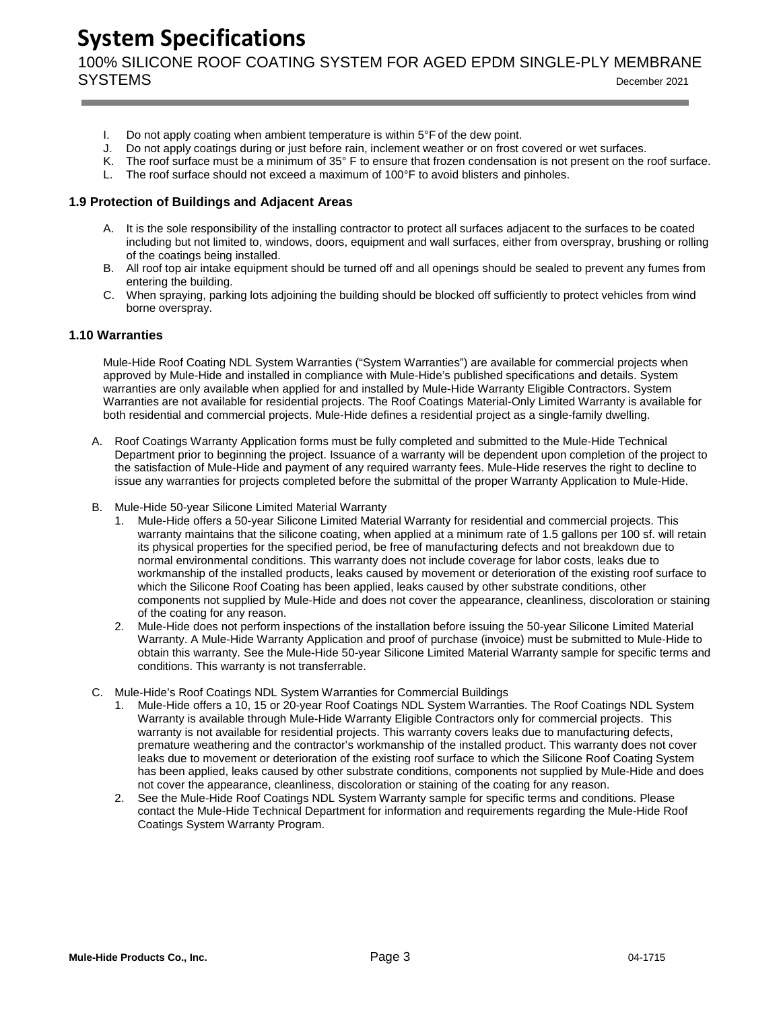100% SILICONE ROOF COATING SYSTEM FOR AGED EPDM SINGLE-PLY MEMBRANE SYSTEMS December <sup>2021</sup>

- 
- I. Do not apply coating when ambient temperature is within  $5^{\circ}$ F of the dew point.<br>J. Do not apply coatings during or just before rain, inclement weather or on frost of Do not apply coatings during or just before rain, inclement weather or on frost covered or wet surfaces.
- K. The roof surface must be a minimum of 35° F to ensure that frozen condensation is not present on the roof surface.
- L. The roof surface should not exceed a maximum of 100°F to avoid blisters and pinholes.

#### **1.9 Protection of Buildings and Adjacent Areas**

- A. It is the sole responsibility of the installing contractor to protect all surfaces adjacent to the surfaces to be coated including but not limited to, windows, doors, equipment and wall surfaces, either from overspray, brushing or rolling of the coatings being installed.
- B. All roof top air intake equipment should be turned off and all openings should be sealed to prevent any fumes from entering the building.
- C. When spraying, parking lots adjoining the building should be blocked off sufficiently to protect vehicles from wind borne overspray.

#### <span id="page-3-0"></span>**1.10 Warranties**

Mule-Hide Roof Coating NDL System Warranties ("System Warranties") are available for commercial projects when approved by Mule-Hide and installed in compliance with Mule-Hide's published specifications and details. System warranties are only available when applied for and installed by Mule-Hide Warranty Eligible Contractors. System Warranties are not available for residential projects. The Roof Coatings Material-Only Limited Warranty is available for both residential and commercial projects. Mule-Hide defines a residential project as a single-family dwelling.

- A. Roof Coatings Warranty Application forms must be fully completed and submitted to the Mule-Hide Technical Department prior to beginning the project. Issuance of a warranty will be dependent upon completion of the project to the satisfaction of Mule-Hide and payment of any required warranty fees. Mule-Hide reserves the right to decline to issue any warranties for projects completed before the submittal of the proper Warranty Application to Mule-Hide.
- B. Mule-Hide 50-year Silicone Limited Material Warranty
	- 1. Mule-Hide offers a 50-year Silicone Limited Material Warranty for residential and commercial projects. This warranty maintains that the silicone coating, when applied at a minimum rate of 1.5 gallons per 100 sf. will retain its physical properties for the specified period, be free of manufacturing defects and not breakdown due to normal environmental conditions. This warranty does not include coverage for labor costs, leaks due to workmanship of the installed products, leaks caused by movement or deterioration of the existing roof surface to which the Silicone Roof Coating has been applied, leaks caused by other substrate conditions, other components not supplied by Mule-Hide and does not cover the appearance, cleanliness, discoloration or staining of the coating for any reason.
	- 2. Mule-Hide does not perform inspections of the installation before issuing the 50-year Silicone Limited Material Warranty. A Mule-Hide Warranty Application and proof of purchase (invoice) must be submitted to Mule-Hide to obtain this warranty. See the Mule-Hide 50-year Silicone Limited Material Warranty sample for specific terms and conditions. This warranty is not transferrable.
- C. Mule-Hide's Roof Coatings NDL System Warranties for Commercial Buildings
	- 1. Mule-Hide offers a 10, 15 or 20-year Roof Coatings NDL System Warranties. The Roof Coatings NDL System Warranty is available through Mule-Hide Warranty Eligible Contractors only for commercial projects. This warranty is not available for residential projects. This warranty covers leaks due to manufacturing defects, premature weathering and the contractor's workmanship of the installed product. This warranty does not cover leaks due to movement or deterioration of the existing roof surface to which the Silicone Roof Coating System has been applied, leaks caused by other substrate conditions, components not supplied by Mule-Hide and does not cover the appearance, cleanliness, discoloration or staining of the coating for any reason.
	- 2. See the Mule-Hide Roof Coatings NDL System Warranty sample for specific terms and conditions. Please contact the Mule-Hide Technical Department for information and requirements regarding the Mule-Hide Roof Coatings System Warranty Program.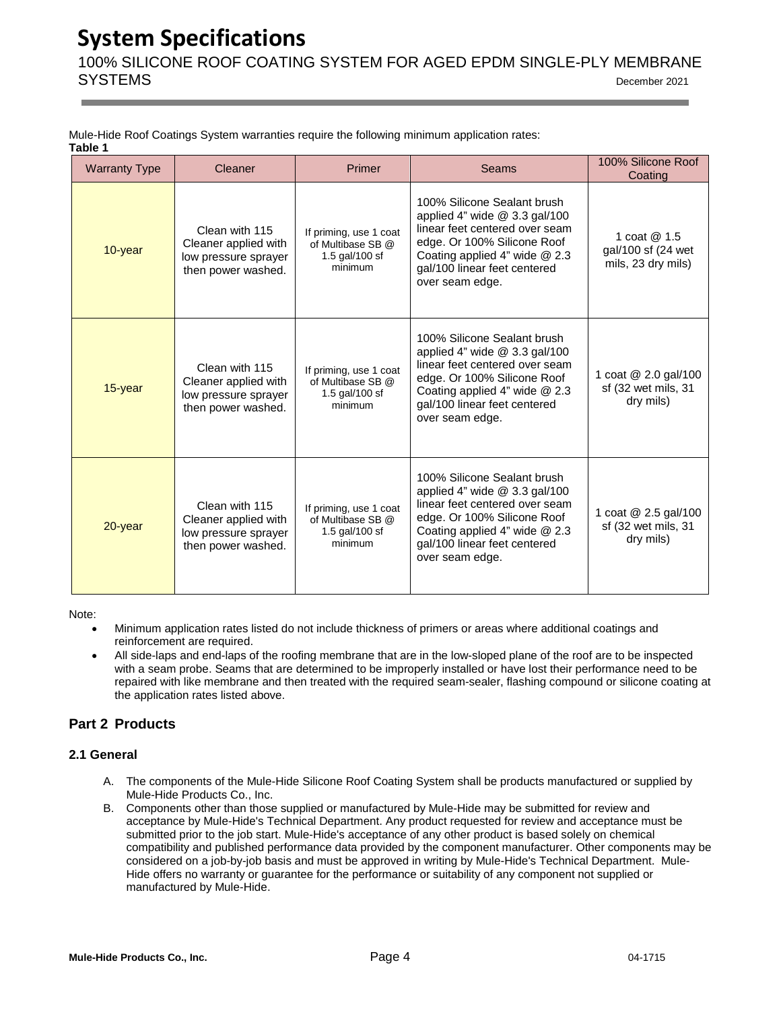100% SILICONE ROOF COATING SYSTEM FOR AGED EPDM SINGLE-PLY MEMBRANE SYSTEMS December <sup>2021</sup>

| Mule-Hide Roof Coatings System warranties require the following minimum application rates: |  |  |  |
|--------------------------------------------------------------------------------------------|--|--|--|
| Table 1                                                                                    |  |  |  |

| <b>Warranty Type</b> | Cleaner                                                                                                                                                                                                             | Primer                                                                   | <b>Seams</b>                                                                                                                                                                                                             | 100% Silicone Roof<br>Coating                            |
|----------------------|---------------------------------------------------------------------------------------------------------------------------------------------------------------------------------------------------------------------|--------------------------------------------------------------------------|--------------------------------------------------------------------------------------------------------------------------------------------------------------------------------------------------------------------------|----------------------------------------------------------|
| 10-year              | Clean with 115<br>Cleaner applied with<br>low pressure sprayer<br>then power washed.                                                                                                                                | If priming, use 1 coat<br>of Multibase SB @<br>1.5 gal/100 sf<br>minimum | 100% Silicone Sealant brush<br>applied 4" wide $@$ 3.3 gal/100<br>linear feet centered over seam<br>edge. Or 100% Silicone Roof<br>Coating applied $4$ " wide $@$ 2.3<br>gal/100 linear feet centered<br>over seam edge. | 1 coat @ 1.5<br>gal/100 sf (24 wet<br>mils, 23 dry mils) |
| $15$ -year           | Clean with 115<br>Cleaner applied with<br>low pressure sprayer<br>then power washed.                                                                                                                                | If priming, use 1 coat<br>of Multibase SB @<br>1.5 gal/100 sf<br>minimum | 100% Silicone Sealant brush<br>applied 4" wide $@$ 3.3 gal/100<br>linear feet centered over seam<br>edge. Or 100% Silicone Roof<br>Coating applied 4" wide $@$ 2.3<br>gal/100 linear feet centered<br>over seam edge.    | 1 coat @ 2.0 gal/100<br>sf (32 wet mils, 31<br>dry mils) |
| 20-year              | Clean with 115<br>If priming, use 1 coat<br>Cleaner applied with<br>of Multibase SB @<br>1.5 gal/100 sf<br>low pressure sprayer<br>gal/100 linear feet centered<br>minimum<br>then power washed.<br>over seam edge. |                                                                          | 100% Silicone Sealant brush<br>applied 4" wide $@$ 3.3 gal/100<br>linear feet centered over seam<br>edge. Or 100% Silicone Roof<br>Coating applied 4" wide @ 2.3                                                         | 1 coat @ 2.5 gal/100<br>sf (32 wet mils, 31<br>dry mils) |

Note:

- Minimum application rates listed do not include thickness of primers or areas where additional coatings and reinforcement are required.
- All side-laps and end-laps of the roofing membrane that are in the low-sloped plane of the roof are to be inspected with a seam probe. Seams that are determined to be improperly installed or have lost their performance need to be repaired with like membrane and then treated with the required seam-sealer, flashing compound or silicone coating at the application rates listed above.

# **Part 2 Products**

# <span id="page-4-0"></span>**2.1 General**

- A. The components of the Mule-Hide Silicone Roof Coating System shall be products manufactured or supplied by Mule-Hide Products Co., Inc.
- B. Components other than those supplied or manufactured by Mule-Hide may be submitted for review and acceptance by Mule-Hide's Technical Department. Any product requested for review and acceptance must be submitted prior to the job start. Mule-Hide's acceptance of any other product is based solely on chemical compatibility and published performance data provided by the component manufacturer. Other components may be considered on a job-by-job basis and must be approved in writing by Mule-Hide's Technical Department. Mule-Hide offers no warranty or guarantee for the performance or suitability of any component not supplied or manufactured by Mule-Hide.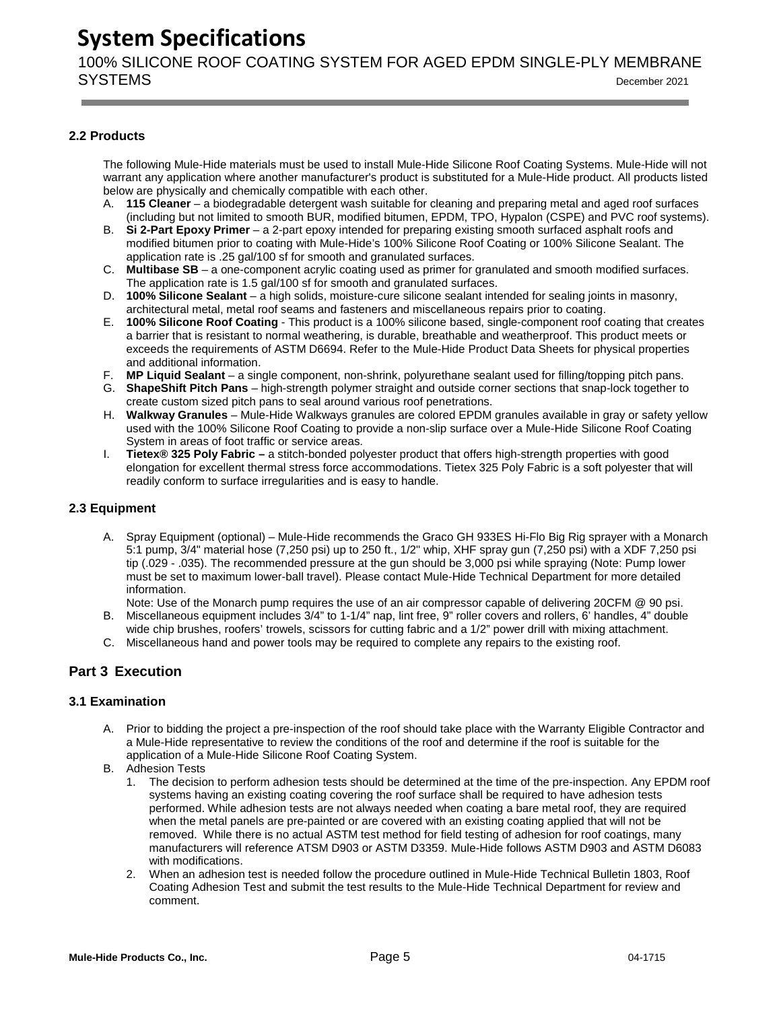100% SILICONE ROOF COATING SYSTEM FOR AGED EPDM SINGLE-PLY MEMBRANE SYSTEMS December <sup>2021</sup>

# <span id="page-5-0"></span>**2.2 Products**

The following Mule-Hide materials must be used to install Mule-Hide Silicone Roof Coating Systems. Mule-Hide will not warrant any application where another manufacturer's product is substituted for a Mule-Hide product. All products listed below are physically and chemically compatible with each other.

- A. **115 Cleaner** a biodegradable detergent wash suitable for cleaning and preparing metal and aged roof surfaces (including but not limited to smooth BUR, modified bitumen, EPDM, TPO, Hypalon (CSPE) and PVC roof systems).
- B. **Si 2-Part Epoxy Primer** a 2-part epoxy intended for preparing existing smooth surfaced asphalt roofs and modified bitumen prior to coating with Mule-Hide's 100% Silicone Roof Coating or 100% Silicone Sealant. The application rate is .25 gal/100 sf for smooth and granulated surfaces.
- C. **Multibase SB** a one-component acrylic coating used as primer for granulated and smooth modified surfaces. The application rate is 1.5 gal/100 sf for smooth and granulated surfaces.
- D. **100% Silicone Sealant** a high solids, moisture-cure silicone sealant intended for sealing joints in masonry, architectural metal, metal roof seams and fasteners and miscellaneous repairs prior to coating.
- E. **100% Silicone Roof Coating** This product is a 100% silicone based, single-component roof coating that creates a barrier that is resistant to normal weathering, is durable, breathable and weatherproof. This product meets or exceeds the requirements of ASTM D6694. Refer to the Mule-Hide Product Data Sheets for physical properties and additional information.
- F. **MP Liquid Sealant** a single component, non-shrink, polyurethane sealant used for filling/topping pitch pans.
- G. **ShapeShift Pitch Pans** high-strength polymer straight and outside corner sections that snap-lock together to create custom sized pitch pans to seal around various roof penetrations.
- H. **Walkway Granules** Mule-Hide Walkways granules are colored EPDM granules available in gray or safety yellow used with the 100% Silicone Roof Coating to provide a non-slip surface over a Mule-Hide Silicone Roof Coating System in areas of foot traffic or service areas.
- I. **Tietex® 325 Poly Fabric –** a stitch-bonded polyester product that offers high-strength properties with good elongation for excellent thermal stress force accommodations. Tietex 325 Poly Fabric is a soft polyester that will readily conform to surface irregularities and is easy to handle.

# <span id="page-5-1"></span>**2.3 Equipment**

A. Spray Equipment (optional) – Mule-Hide recommends the Graco GH 933ES Hi-Flo Big Rig sprayer with a Monarch 5:1 pump, 3/4" material hose (7,250 psi) up to 250 ft., 1/2" whip, XHF spray gun (7,250 psi) with a XDF 7,250 psi tip (.029 - .035). The recommended pressure at the gun should be 3,000 psi while spraying (Note: Pump lower must be set to maximum lower-ball travel). Please contact Mule-Hide Technical Department for more detailed information.

Note: Use of the Monarch pump requires the use of an air compressor capable of delivering 20CFM @ 90 psi.

- B. Miscellaneous equipment includes 3/4" to 1-1/4" nap, lint free, 9" roller covers and rollers, 6' handles, 4" double wide chip brushes, roofers' trowels, scissors for cutting fabric and a 1/2" power drill with mixing attachment.
- C. Miscellaneous hand and power tools may be required to complete any repairs to the existing roof.

# **Part 3 Execution**

# <span id="page-5-2"></span>**3.1 Examination**

- A. Prior to bidding the project a pre-inspection of the roof should take place with the Warranty Eligible Contractor and a Mule-Hide representative to review the conditions of the roof and determine if the roof is suitable for the application of a Mule-Hide Silicone Roof Coating System.
- B. Adhesion Tests
	- 1. The decision to perform adhesion tests should be determined at the time of the pre-inspection. Any EPDM roof systems having an existing coating covering the roof surface shall be required to have adhesion tests performed. While adhesion tests are not always needed when coating a bare metal roof, they are required when the metal panels are pre-painted or are covered with an existing coating applied that will not be removed. While there is no actual ASTM test method for field testing of adhesion for roof coatings, many manufacturers will reference ATSM D903 or ASTM D3359. Mule-Hide follows ASTM D903 and ASTM D6083 with modifications.
	- 2. When an adhesion test is needed follow the procedure outlined in Mule-Hide Technical Bulletin 1803, Roof Coating Adhesion Test and submit the test results to the Mule-Hide Technical Department for review and comment.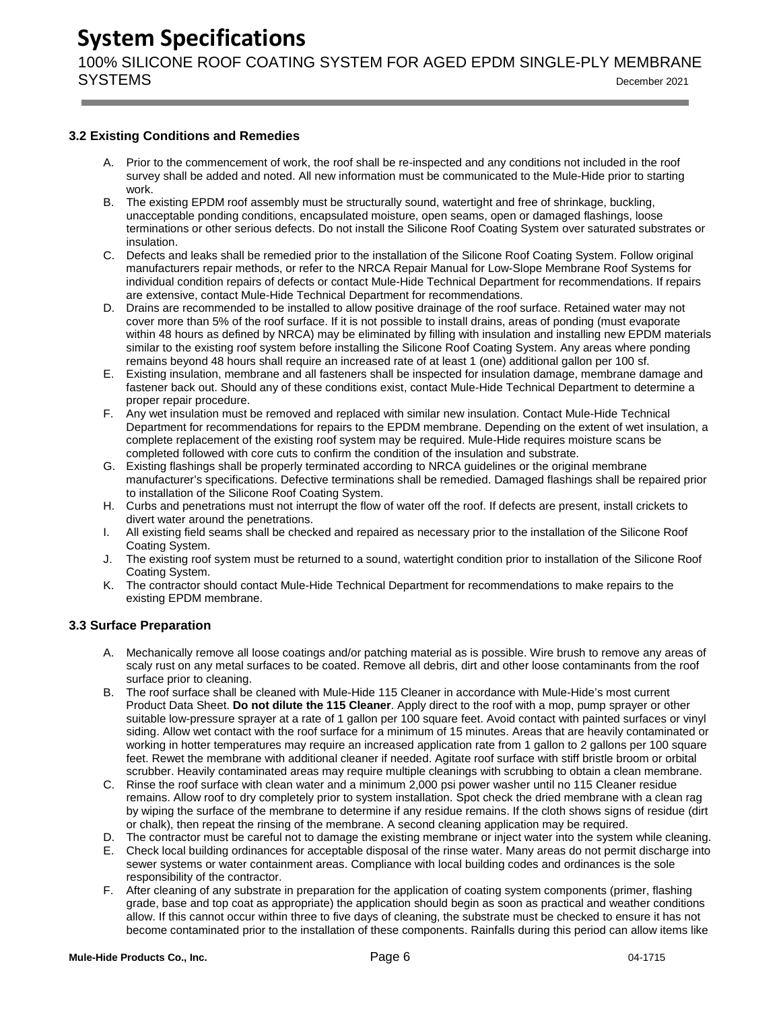100% SILICONE ROOF COATING SYSTEM FOR AGED EPDM SINGLE-PLY MEMBRANE SYSTEMS December <sup>2021</sup>

# <span id="page-6-0"></span>**3.2 Existing Conditions and Remedies**

- A. Prior to the commencement of work, the roof shall be re-inspected and any conditions not included in the roof survey shall be added and noted. All new information must be communicated to the Mule-Hide prior to starting work.
- B. The existing EPDM roof assembly must be structurally sound, watertight and free of shrinkage, buckling, unacceptable ponding conditions, encapsulated moisture, open seams, open or damaged flashings, loose terminations or other serious defects. Do not install the Silicone Roof Coating System over saturated substrates or insulation.
- C. Defects and leaks shall be remedied prior to the installation of the Silicone Roof Coating System. Follow original manufacturers repair methods, or refer to the NRCA Repair Manual for Low-Slope Membrane Roof Systems for individual condition repairs of defects or contact Mule-Hide Technical Department for recommendations. If repairs are extensive, contact Mule-Hide Technical Department for recommendations.
- D. Drains are recommended to be installed to allow positive drainage of the roof surface. Retained water may not cover more than 5% of the roof surface. If it is not possible to install drains, areas of ponding (must evaporate within 48 hours as defined by NRCA) may be eliminated by filling with insulation and installing new EPDM materials similar to the existing roof system before installing the Silicone Roof Coating System. Any areas where ponding remains beyond 48 hours shall require an increased rate of at least 1 (one) additional gallon per 100 sf.
- E. Existing insulation, membrane and all fasteners shall be inspected for insulation damage, membrane damage and fastener back out. Should any of these conditions exist, contact Mule-Hide Technical Department to determine a proper repair procedure.
- F. Any wet insulation must be removed and replaced with similar new insulation. Contact Mule-Hide Technical Department for recommendations for repairs to the EPDM membrane. Depending on the extent of wet insulation, a complete replacement of the existing roof system may be required. Mule-Hide requires moisture scans be completed followed with core cuts to confirm the condition of the insulation and substrate.
- G. Existing flashings shall be properly terminated according to NRCA guidelines or the original membrane manufacturer's specifications. Defective terminations shall be remedied. Damaged flashings shall be repaired prior to installation of the Silicone Roof Coating System.
- H. Curbs and penetrations must not interrupt the flow of water off the roof. If defects are present, install crickets to divert water around the penetrations.
- I. All existing field seams shall be checked and repaired as necessary prior to the installation of the Silicone Roof Coating System.
- J. The existing roof system must be returned to a sound, watertight condition prior to installation of the Silicone Roof Coating System.
- K. The contractor should contact Mule-Hide Technical Department for recommendations to make repairs to the existing EPDM membrane.

# <span id="page-6-1"></span>**3.3 Surface Preparation**

- A. Mechanically remove all loose coatings and/or patching material as is possible. Wire brush to remove any areas of scaly rust on any metal surfaces to be coated. Remove all debris, dirt and other loose contaminants from the roof surface prior to cleaning.
- B. The roof surface shall be cleaned with Mule-Hide 115 Cleaner in accordance with Mule-Hide's most current Product Data Sheet. **Do not dilute the 115 Cleaner**. Apply direct to the roof with a mop, pump sprayer or other suitable low-pressure sprayer at a rate of 1 gallon per 100 square feet. Avoid contact with painted surfaces or vinyl siding. Allow wet contact with the roof surface for a minimum of 15 minutes. Areas that are heavily contaminated or working in hotter temperatures may require an increased application rate from 1 gallon to 2 gallons per 100 square feet. Rewet the membrane with additional cleaner if needed. Agitate roof surface with stiff bristle broom or orbital scrubber. Heavily contaminated areas may require multiple cleanings with scrubbing to obtain a clean membrane.
- C. Rinse the roof surface with clean water and a minimum 2,000 psi power washer until no 115 Cleaner residue remains. Allow roof to dry completely prior to system installation. Spot check the dried membrane with a clean rag by wiping the surface of the membrane to determine if any residue remains. If the cloth shows signs of residue (dirt or chalk), then repeat the rinsing of the membrane. A second cleaning application may be required.
- D. The contractor must be careful not to damage the existing membrane or inject water into the system while cleaning.
- E. Check local building ordinances for acceptable disposal of the rinse water. Many areas do not permit discharge into sewer systems or water containment areas. Compliance with local building codes and ordinances is the sole responsibility of the contractor.
- F. After cleaning of any substrate in preparation for the application of coating system components (primer, flashing grade, base and top coat as appropriate) the application should begin as soon as practical and weather conditions allow. If this cannot occur within three to five days of cleaning, the substrate must be checked to ensure it has not become contaminated prior to the installation of these components. Rainfalls during this period can allow items like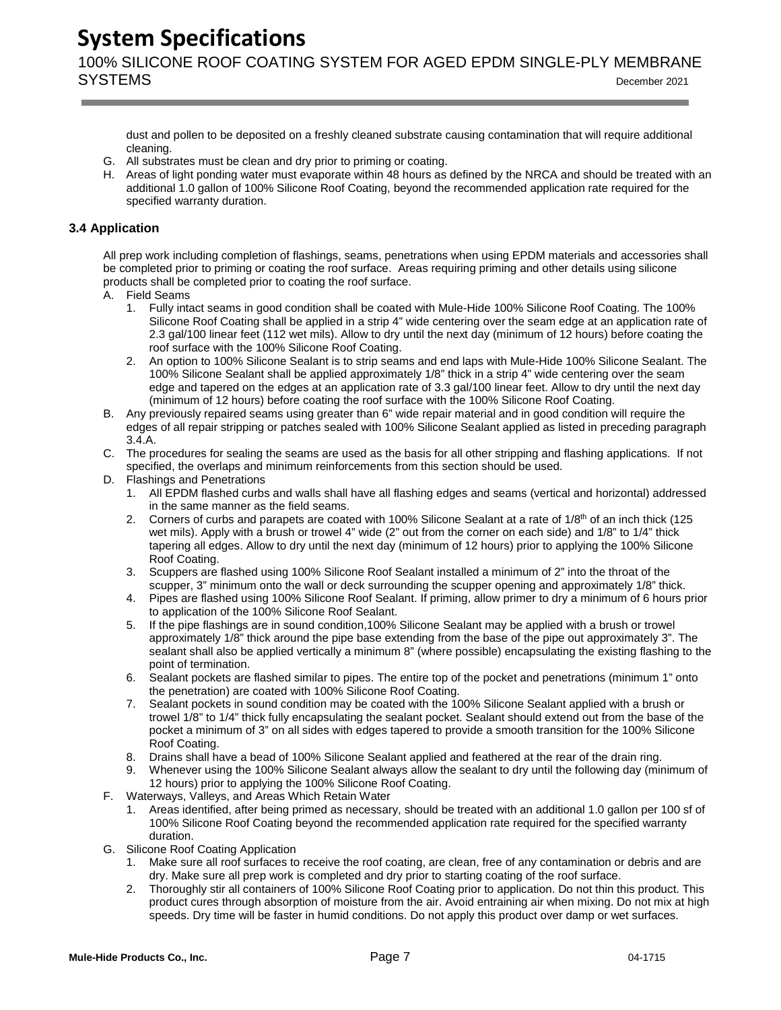100% SILICONE ROOF COATING SYSTEM FOR AGED EPDM SINGLE-PLY MEMBRANE SYSTEMS December <sup>2021</sup>

dust and pollen to be deposited on a freshly cleaned substrate causing contamination that will require additional cleaning.

- G. All substrates must be clean and dry prior to priming or coating.
- H. Areas of light ponding water must evaporate within 48 hours as defined by the NRCA and should be treated with an additional 1.0 gallon of 100% Silicone Roof Coating, beyond the recommended application rate required for the specified warranty duration.

# <span id="page-7-0"></span>**3.4 Application**

All prep work including completion of flashings, seams, penetrations when using EPDM materials and accessories shall be completed prior to priming or coating the roof surface. Areas requiring priming and other details using silicone products shall be completed prior to coating the roof surface.

- A. Field Seams
	- 1. Fully intact seams in good condition shall be coated with Mule-Hide 100% Silicone Roof Coating. The 100% Silicone Roof Coating shall be applied in a strip 4" wide centering over the seam edge at an application rate of 2.3 gal/100 linear feet (112 wet mils). Allow to dry until the next day (minimum of 12 hours) before coating the roof surface with the 100% Silicone Roof Coating.
	- 2. An option to 100% Silicone Sealant is to strip seams and end laps with Mule-Hide 100% Silicone Sealant. The 100% Silicone Sealant shall be applied approximately 1/8" thick in a strip 4" wide centering over the seam edge and tapered on the edges at an application rate of 3.3 gal/100 linear feet. Allow to dry until the next day (minimum of 12 hours) before coating the roof surface with the 100% Silicone Roof Coating.
- B. Any previously repaired seams using greater than 6" wide repair material and in good condition will require the edges of all repair stripping or patches sealed with 100% Silicone Sealant applied as listed in preceding paragraph 3.4.A.
- C. The procedures for sealing the seams are used as the basis for all other stripping and flashing applications. If not specified, the overlaps and minimum reinforcements from this section should be used.
- D. Flashings and Penetrations
	- 1. All EPDM flashed curbs and walls shall have all flashing edges and seams (vertical and horizontal) addressed in the same manner as the field seams.
	- 2. Corners of curbs and parapets are coated with 100% Silicone Sealant at a rate of  $1/8<sup>th</sup>$  of an inch thick (125 wet mils). Apply with a brush or trowel 4" wide (2" out from the corner on each side) and 1/8" to 1/4" thick tapering all edges. Allow to dry until the next day (minimum of 12 hours) prior to applying the 100% Silicone Roof Coating.
	- 3. Scuppers are flashed using 100% Silicone Roof Sealant installed a minimum of 2" into the throat of the scupper, 3" minimum onto the wall or deck surrounding the scupper opening and approximately 1/8" thick.
	- 4. Pipes are flashed using 100% Silicone Roof Sealant. If priming, allow primer to dry a minimum of 6 hours prior to application of the 100% Silicone Roof Sealant.
	- 5. If the pipe flashings are in sound condition,100% Silicone Sealant may be applied with a brush or trowel approximately 1/8" thick around the pipe base extending from the base of the pipe out approximately 3". The sealant shall also be applied vertically a minimum 8" (where possible) encapsulating the existing flashing to the point of termination.
	- 6. Sealant pockets are flashed similar to pipes. The entire top of the pocket and penetrations (minimum 1" onto the penetration) are coated with 100% Silicone Roof Coating.
	- 7. Sealant pockets in sound condition may be coated with the 100% Silicone Sealant applied with a brush or trowel 1/8" to 1/4" thick fully encapsulating the sealant pocket. Sealant should extend out from the base of the pocket a minimum of 3" on all sides with edges tapered to provide a smooth transition for the 100% Silicone Roof Coating.
	- 8. Drains shall have a bead of 100% Silicone Sealant applied and feathered at the rear of the drain ring.
	- 9. Whenever using the 100% Silicone Sealant always allow the sealant to dry until the following day (minimum of 12 hours) prior to applying the 100% Silicone Roof Coating.
- F. Waterways, Valleys, and Areas Which Retain Water
	- 1. Areas identified, after being primed as necessary, should be treated with an additional 1.0 gallon per 100 sf of 100% Silicone Roof Coating beyond the recommended application rate required for the specified warranty duration.
- G. Silicone Roof Coating Application
	- 1. Make sure all roof surfaces to receive the roof coating, are clean, free of any contamination or debris and are dry. Make sure all prep work is completed and dry prior to starting coating of the roof surface.
	- 2. Thoroughly stir all containers of 100% Silicone Roof Coating prior to application. Do not thin this product. This product cures through absorption of moisture from the air. Avoid entraining air when mixing. Do not mix at high speeds. Dry time will be faster in humid conditions. Do not apply this product over damp or wet surfaces.